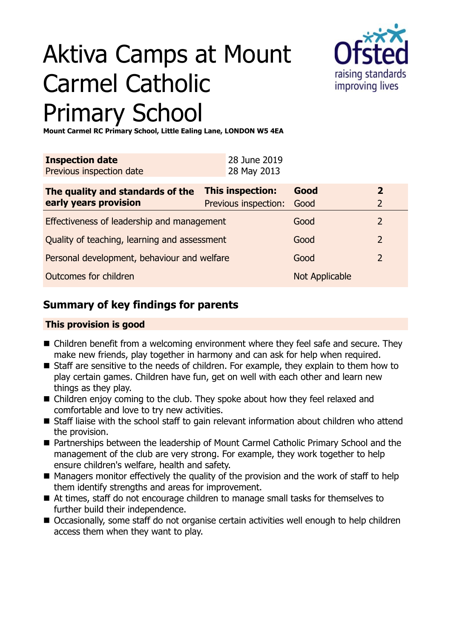# Aktiva Camps at Mount Carmel Catholic Primary School



**Mount Carmel RC Primary School, Little Ealing Lane, LONDON W5 4EA**

| <b>Inspection date</b><br>Previous inspection date        |  | 28 June 2019<br>28 May 2013              |                |                              |
|-----------------------------------------------------------|--|------------------------------------------|----------------|------------------------------|
| The quality and standards of the<br>early years provision |  | This inspection:<br>Previous inspection: | Good<br>Good   | $\overline{\mathbf{2}}$<br>2 |
| Effectiveness of leadership and management                |  |                                          | Good           | $\overline{2}$               |
| Quality of teaching, learning and assessment              |  |                                          | Good           | $\overline{2}$               |
| Personal development, behaviour and welfare               |  |                                          | Good           | $\mathcal{L}$                |
| Outcomes for children                                     |  |                                          | Not Applicable |                              |

# **Summary of key findings for parents**

## **This provision is good**

- $\blacksquare$  Children benefit from a welcoming environment where they feel safe and secure. They make new friends, play together in harmony and can ask for help when required.
- Staff are sensitive to the needs of children. For example, they explain to them how to play certain games. Children have fun, get on well with each other and learn new things as they play.
- $\blacksquare$  Children enjoy coming to the club. They spoke about how they feel relaxed and comfortable and love to try new activities.
- $\blacksquare$  Staff liaise with the school staff to gain relevant information about children who attend the provision.
- Partnerships between the leadership of Mount Carmel Catholic Primary School and the management of the club are very strong. For example, they work together to help ensure children's welfare, health and safety.
- $\blacksquare$  Managers monitor effectively the quality of the provision and the work of staff to help them identify strengths and areas for improvement.
- At times, staff do not encourage children to manage small tasks for themselves to further build their independence.
- Occasionally, some staff do not organise certain activities well enough to help children access them when they want to play.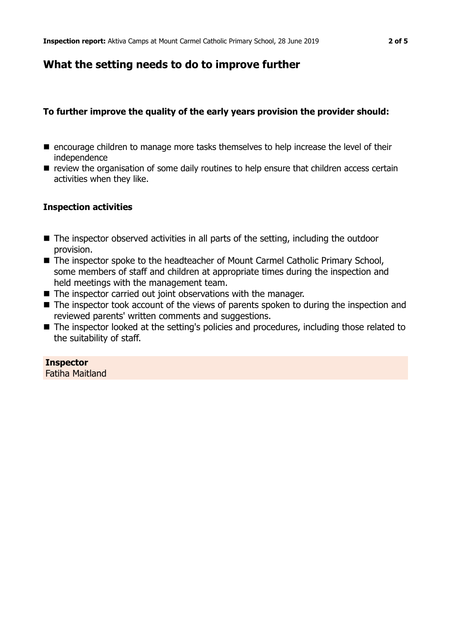# **What the setting needs to do to improve further**

## **To further improve the quality of the early years provision the provider should:**

- encourage children to manage more tasks themselves to help increase the level of their independence
- $\blacksquare$  review the organisation of some daily routines to help ensure that children access certain activities when they like.

### **Inspection activities**

- $\blacksquare$  The inspector observed activities in all parts of the setting, including the outdoor provision.
- The inspector spoke to the headteacher of Mount Carmel Catholic Primary School, some members of staff and children at appropriate times during the inspection and held meetings with the management team.
- $\blacksquare$  The inspector carried out joint observations with the manager.
- $\blacksquare$  The inspector took account of the views of parents spoken to during the inspection and reviewed parents' written comments and suggestions.
- The inspector looked at the setting's policies and procedures, including those related to the suitability of staff.

#### **Inspector**

Fatiha Maitland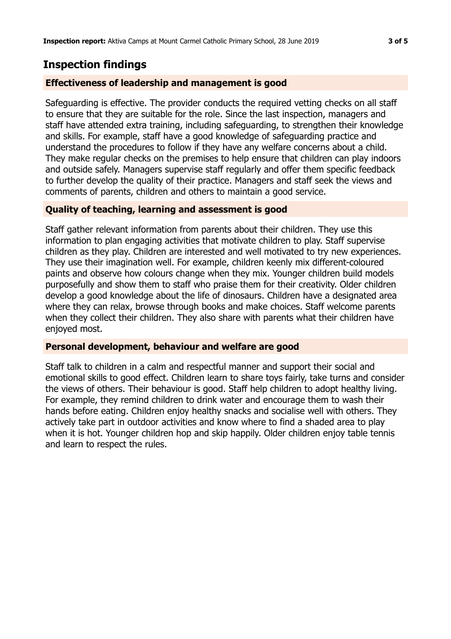## **Inspection findings**

#### **Effectiveness of leadership and management is good**

Safeguarding is effective. The provider conducts the required vetting checks on all staff to ensure that they are suitable for the role. Since the last inspection, managers and staff have attended extra training, including safeguarding, to strengthen their knowledge and skills. For example, staff have a good knowledge of safeguarding practice and understand the procedures to follow if they have any welfare concerns about a child. They make regular checks on the premises to help ensure that children can play indoors and outside safely. Managers supervise staff regularly and offer them specific feedback to further develop the quality of their practice. Managers and staff seek the views and comments of parents, children and others to maintain a good service.

#### **Quality of teaching, learning and assessment is good**

Staff gather relevant information from parents about their children. They use this information to plan engaging activities that motivate children to play. Staff supervise children as they play. Children are interested and well motivated to try new experiences. They use their imagination well. For example, children keenly mix different-coloured paints and observe how colours change when they mix. Younger children build models purposefully and show them to staff who praise them for their creativity. Older children develop a good knowledge about the life of dinosaurs. Children have a designated area where they can relax, browse through books and make choices. Staff welcome parents when they collect their children. They also share with parents what their children have enjoyed most.

#### **Personal development, behaviour and welfare are good**

Staff talk to children in a calm and respectful manner and support their social and emotional skills to good effect. Children learn to share toys fairly, take turns and consider the views of others. Their behaviour is good. Staff help children to adopt healthy living. For example, they remind children to drink water and encourage them to wash their hands before eating. Children enjoy healthy snacks and socialise well with others. They actively take part in outdoor activities and know where to find a shaded area to play when it is hot. Younger children hop and skip happily. Older children enjoy table tennis and learn to respect the rules.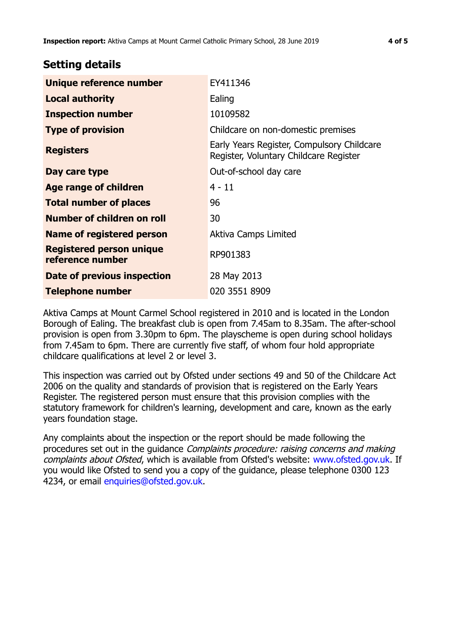## **Setting details**

| Unique reference number                             | EY411346                                                                             |
|-----------------------------------------------------|--------------------------------------------------------------------------------------|
| <b>Local authority</b>                              | Ealing                                                                               |
| <b>Inspection number</b>                            | 10109582                                                                             |
| <b>Type of provision</b>                            | Childcare on non-domestic premises                                                   |
| <b>Registers</b>                                    | Early Years Register, Compulsory Childcare<br>Register, Voluntary Childcare Register |
| Day care type                                       | Out-of-school day care                                                               |
| Age range of children                               | $4 - 11$                                                                             |
| <b>Total number of places</b>                       | 96                                                                                   |
| Number of children on roll                          | 30                                                                                   |
| Name of registered person                           | Aktiva Camps Limited                                                                 |
| <b>Registered person unique</b><br>reference number | RP901383                                                                             |
| Date of previous inspection                         | 28 May 2013                                                                          |
| Telephone number                                    | 020 3551 8909                                                                        |

Aktiva Camps at Mount Carmel School registered in 2010 and is located in the London Borough of Ealing. The breakfast club is open from 7.45am to 8.35am. The after-school provision is open from 3.30pm to 6pm. The playscheme is open during school holidays from 7.45am to 6pm. There are currently five staff, of whom four hold appropriate childcare qualifications at level 2 or level 3.

This inspection was carried out by Ofsted under sections 49 and 50 of the Childcare Act 2006 on the quality and standards of provision that is registered on the Early Years Register. The registered person must ensure that this provision complies with the statutory framework for children's learning, development and care, known as the early years foundation stage.

Any complaints about the inspection or the report should be made following the procedures set out in the guidance Complaints procedure: raising concerns and making complaints about Ofsted, which is available from Ofsted's website: www.ofsted.gov.uk. If you would like Ofsted to send you a copy of the guidance, please telephone 0300 123 4234, or email [enquiries@ofsted.gov.uk.](mailto:enquiries@ofsted.gov.uk)